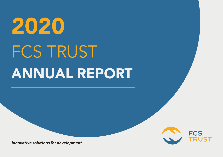# ANNUAL REPORT 2020 FCS TRUST



*Innovative solutions for development*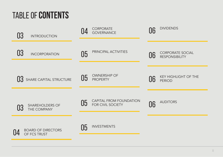## TABLE OF **CONTENTS**

| 03<br><b>INTRODUCTION</b>                   | CORPORATE<br><b>GOVERNANCE</b>                     | <b>DIVIDENDS</b><br>06                                 |
|---------------------------------------------|----------------------------------------------------|--------------------------------------------------------|
| 03<br><b>INCORPORATION</b>                  | PRINCIPAL ACTIVITIES<br>05                         | <b>CORPORATE SOCIAL</b><br>06<br><b>RESPONSIBILITY</b> |
| SHARE CAPITAL STRUCTURE                     | <b>OWNERSHIP OF</b><br>05<br><b>PROPERTY</b>       | <b>KEY HIGHLIGHT OF THE</b><br>06<br><b>PERIOD</b>     |
| <b>SHAREHOLDERS OF</b><br>03<br>THE COMPANY | CAPITAL FROM FOUNDATION<br>05<br>FOR CIVIL SOCIETY | <b>AUDITORS</b><br>06                                  |
| <b>BOARD OF DIRECTORS</b><br>OF FCS TRUST   | <b>INVESTMENTS</b><br>05                           |                                                        |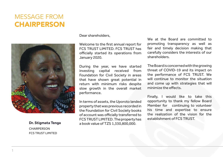## MESSAGE FROM **CHAIRPERSON**



**Dr. Stigmata Tenga CHAIRPERSON** FCS TRUST LIMITED

1

Dear shareholders,

Welcome to the first annual report for FCS TRUST LIMITED. FCS TRUST has officially started its operations from January 2020.

During the year, we have started investing capital received from Foundation for Civil Society in areas that have shown great potential in return with minimum risks despite slow growth in the overall market performance.

In terms of assets, the Uporoto landed property that was previous recorded in the Foundation for Civil Society books of account was officially transferred to FCS TRUST LIMITED. The property has a book value of TZS 1,330,800,000.

We at the Board are committed to promoting transparency as well as fair and timely decision making that carefully considers the interests of our shareholders.

The Board is concerned with the growing threat of COVID-19 and its impact on the performance of FCS TRUST. We will continue to monitor the situation and come up with strategies that will minimize the effects.

Finally, I would like to take this opportunity to thank my fellow Board Member for continuing to volunteer his time and expertise to ensure the realization of the vision for the establishment of FCS TRUST.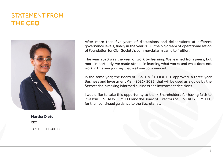### STATEMENT FROM **THE CEO**



**Martha Olotu**  CEO FCS TRUST LIMITED After more than five years of discussions and deliberations at different governance levels, finally in the year 2020, the big dream of operationalization of Foundation for Civil Society's commercial arm came to fruition.

The year 2020 was the year of work by learning. We learned from peers, but more importantly, we made strides in learning what works and what does not work in this new journey that we have commenced.

In the same year, the Board of FCS TRUST LIMITED approved a three-year Business and Investment Plan (2021- 2023) that will be used as a guide by the Secretariat in making informed business and investment decisions.

I would like to take this opportunity to thank Shareholders for having faith to invest in FCS TRUST LIMITED and the Board of Directors of FCS TRUST LIMITED for their continued guidance to the Secretariat.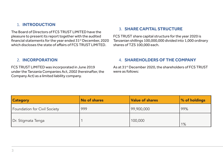#### 1. **INTRODUCTION**

The Board of Directors of FCS TRUST LIMITED have the pleasure to present its report together with the audited financial statements for the year ended 31<sup>st</sup> December, 2020 which discloses the state of affairs of FCS TRUST LIMITED.

#### 2. **INCORPORATION**

FCS TRUST LIMITED was incorporated in June 2019 under the Tanzania Companies Act, 2002 (hereinafter, the Company Act) as a limited liability company.

#### 3. **SHARE CAPITAL STRUCTURE**

FCS TRUST share capital structure for the year 2020 is Tanzanian shillings 100,000,000 divided into 1,000 ordinary shares of TZS 100,000 each.

#### 4. **SHAREHOLDERS OF THE COMPANY**

As at 31<sup>st</sup> December 2020, the shareholders of FCS TRUST were as follows:

| <b>Category</b>              | No of shares | <b>Value of shares</b> | % of holdings |
|------------------------------|--------------|------------------------|---------------|
| Foundation for Civil Society | 999          | 99,900,000             | 99%           |
| Dr. Stigmata Tenga           |              | 100,000                | 1%            |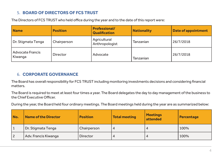#### 5. **BOARD OF DIRECTORS OF FCS TRUST**

The Directors of FCS TRUST who held office during the year and to the date of this report were:

| <b>Name</b>                        | <b>Position</b> | <b>Professional/</b><br><b>Qualification</b> | <b>Nationality</b> | <b>Date of appointment</b> |
|------------------------------------|-----------------|----------------------------------------------|--------------------|----------------------------|
| Dr. Stigmata Tenga                 | Chairperson     | Agricultural<br>Anthropologist               | Tanzanian          | 26/7/2018                  |
| <b>Advocate Francis</b><br>Kiwanga | <b>Director</b> | Advocate                                     | Tanzanian          | 26/7/2018                  |

#### 6. **CORPORATE GOVERNANCE**

The Board has overall responsibility for FCS TRUST including monitoring investments decisions and considering financial matters.

The Board is required to meet at least four times a year. The Board delegates the day to day management of the business to the Chief Executive Officer.

During the year, the Board held four ordinary meetings. The Board meetings held during the year are as summarized below:

| No.            | <b>Name of the Director</b> | <b>Position</b> | <b>Total meeting</b> | <b>Meetings</b><br>attended | Percentage |
|----------------|-----------------------------|-----------------|----------------------|-----------------------------|------------|
| $\vert$ 1      | Dr. Stigmata Tenga          | Chairperson     | 4                    | 4                           | 100%       |
| $\overline{2}$ | Adv. Francis Kiwanga        | <b>Director</b> | 4                    | 4                           | 100%       |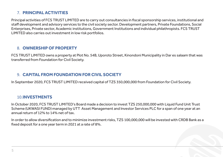#### 7. **PRINCIPAL ACTIVITIES**

Principal activities of FCS TRUST LIMITED are to carry out consultancies in fiscal sponsorship services, institutional and staff development and advisory services to the civil society sector. Development partners, Private Foundations, Social Enterprises, Private sector, Academic institutions, Government Institutions and individual philathropists. FCS TRUST LIMITED also carries out investment in low risk portfolios.

#### 8. **OWNERSHIP OF PROPERTY**

FCS TRUST LIMITED owns a property at Plot No. 54B, Uporoto Street, Kinondoni Municipality in Dar es salaam that was transferred from Foundation for Civil Society.

#### 9. **CAPITAL FROM FOUNDATION FOR CIVIL SOCIETY**

In September 2020, FCS TRUST LIMITED received capital of TZS 350,000,000 from Foundation for Civil Society.

#### 10.**INVESTMENTS**

In October 2020, FCS TRUST LIMITED's Board made a decision to invest TZS 250,000,000 with Liquid Fund Unit Trust Scheme (UKWASI FUND) managed by UTT Asset Management and Investor Services PLC for a span of one year at an annual return of 12% to 14% net of tax.

In order to allow diversification and to minimize investment risks, TZS 100,000,000 will be invested with CRDB Bank as a fixed deposit for a one year term in 2021 at a rate of 8%.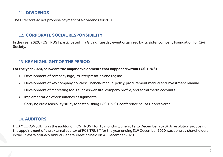#### 11. **DIVIDENDS**

The Directors do not propose payment of a dividends for 2020

#### 12. **CORPORATE SOCIAL RESPONSIBILITY**

In the year 2020, FCS TRUST participated in a Giving Tuesday event organized by its sister company Foundation for Civil Society.

#### 13. **KEY HIGHLIGHT OF THE PERIOD**

#### **For the year 2020, below are the major developments that happened within FCS TRUST**

- 1. Development of company logo, its interpretation and tagline
- 2. Development of key company policies: Financial manual policy, procurement manual and investment manual.
- 3. Development of marketing tools such as website, company profile, and social media accounts
- 4. Implementation of consultancy assignments
- 5. Carrying out a feasibility study for establishing FCS TRUST conference hall at Uporoto area.

#### 14. **AUDITORS**

HLB MELKONSULT was the auditor of FCS TRUST for 18 months (June 2019 to December 2020). A resolution proposing the appointment of the external auditor of FCS TRUST for the year ending 31<sup>st</sup> December 2020 was done by shareholders in the 1<sup>st</sup> extra ordinary Annual General Meeting held on 4<sup>th</sup> December 2020.